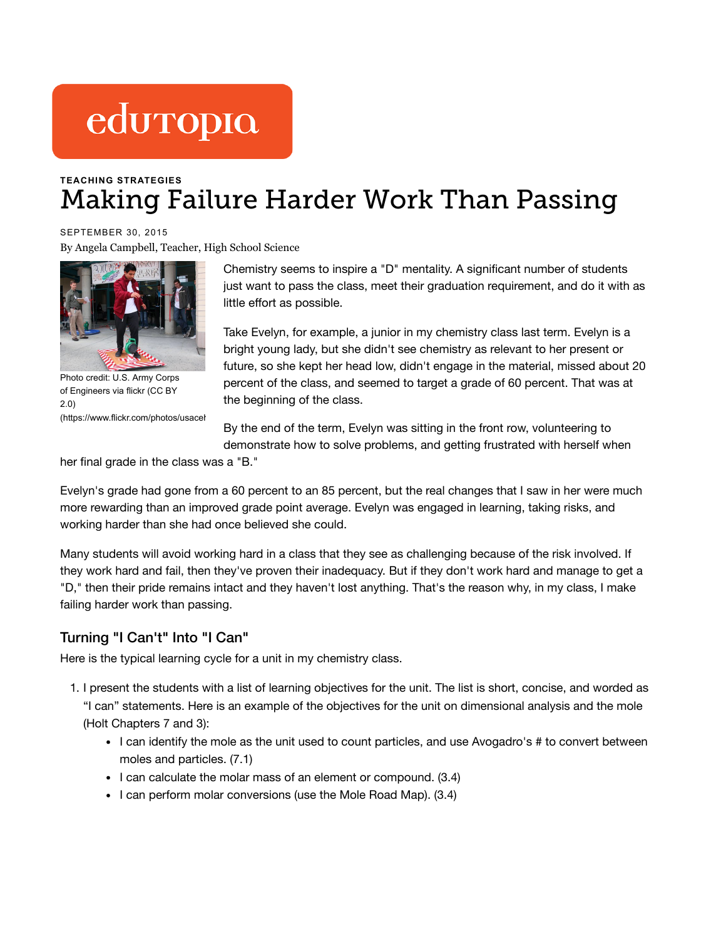# eduropio

## **TEACHING [STRATEGIES](https://www.edutopia.org/blogs/tag/teaching-strategies)** Making Failure Harder Work Than Passing

SEPTEMBER 30, 2015 [By Angela Campbell, T](https://www.edutopia.org/users/angela-campbell)eacher, High School Science



Photo credit: U.S. Army Corps of Engineers via flickr (CC BY 2.0) (https://www.flickr.com/photos/usacel

Chemistry seems to inspire a "D" mentality. A significant number of students just want to pass the class, meet their graduation requirement, and do it with as little effort as possible.

Take Evelyn, for example, a junior in my chemistry class last term. Evelyn is a bright young lady, but she didn't see chemistry as relevant to her present or future, so she kept her head low, didn't engage in the material, missed about 20 percent of the class, and seemed to target a grade of 60 percent. That was at the beginning of the class.

By the end of the term, Evelyn was sitting in the front row, volunteering to demonstrate how to solve problems, and getting frustrated with herself when

her final grade in the class was a "B."

Evelyn's grade had gone from a 60 percent to an 85 percent, but the real changes that I saw in her were much more rewarding than an improved grade point average. Evelyn was engaged in learning, taking risks, and working harder than she had once believed she could.

Many students will avoid working hard in a class that they see as challenging because of the risk involved. If they work hard and fail, then they've proven their inadequacy. But if they don't work hard and manage to get a "D," then their pride remains intact and they haven't lost anything. That's the reason why, in my class, I make failing harder work than passing.

#### Turning "I Can't" Into "I Can"

Here is the typical learning cycle for a unit in my chemistry class.

- 1. I present the students with a list of learning objectives for the unit. The list is short, concise, and worded as "I can" statements. Here is an example of the objectives for the unit on dimensional analysis and the mole (Holt Chapters 7 and 3):
	- I can identify the mole as the unit used to count particles, and use Avogadro's # to convert between moles and particles. (7.1)
	- I can calculate the molar mass of an element or compound. (3.4)
	- $\bullet$  I can perform molar conversions (use the Mole Road Map). (3.4)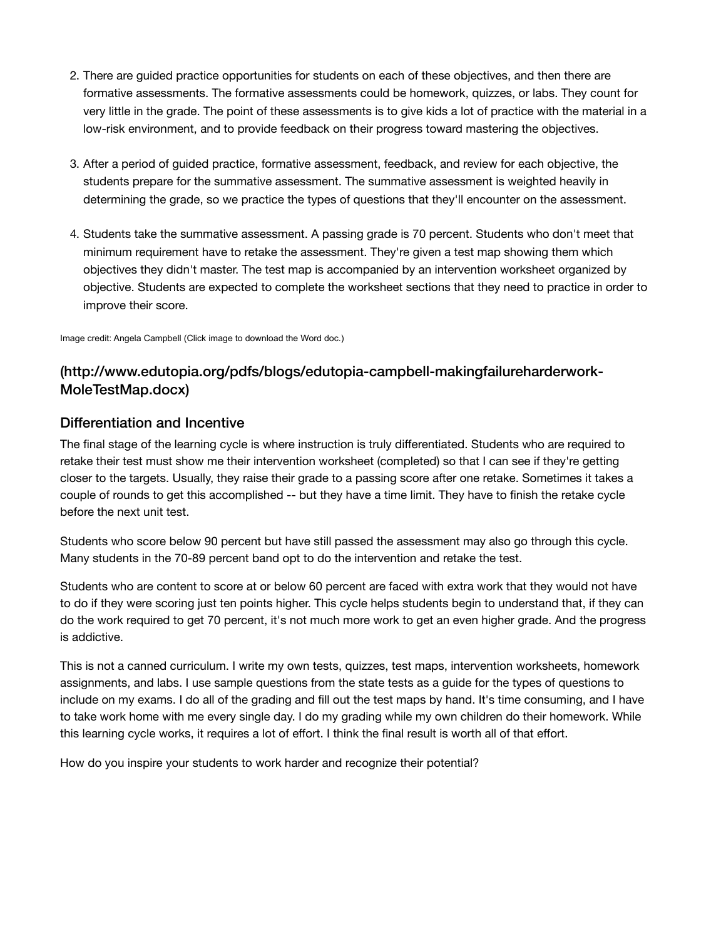- 2. There are guided practice opportunities for students on each of these objectives, and then there are formative assessments. The formative assessments could be homework, quizzes, or labs. They count for very little in the grade. The point of these assessments is to give kids a lot of practice with the material in a low-risk environment, and to provide feedback on their progress toward mastering the objectives.
- 3. After a period of guided practice, formative assessment, feedback, and review for each objective, the students prepare for the summative assessment. The summative assessment is weighted heavily in determining the grade, so we practice the types of questions that they'll encounter on the assessment.
- 4. Students take the summative assessment. A passing grade is 70 percent. Students who don't meet that minimum requirement have to retake the assessment. They're given a test map showing them which objectives they didn't master. The test map is accompanied by an intervention worksheet organized by objective. Students are expected to complete the worksheet sections that they need to practice in order to improve their score.

Image credit: Angela Campbell (Click image to download the Word doc.)

### [\(http://www.edutopia.org/pdfs/blogs/edutopia-campbell-makingfailureharderwork-](https://www.edutopia.org/pdfs/blogs/edutopia-campbell-makingfailureharderwork-MoleTestMap.docx)MoleTestMap.docx)

#### Differentiation and Incentive

The final stage of the learning cycle is where instruction is truly differentiated. Students who are required to retake their test must show me their intervention worksheet (completed) so that I can see if they're getting closer to the targets. Usually, they raise their grade to a passing score after one retake. Sometimes it takes a couple of rounds to get this accomplished -- but they have a time limit. They have to finish the retake cycle before the next unit test.

Students who score below 90 percent but have still passed the assessment may also go through this cycle. Many students in the 70-89 percent band opt to do the intervention and retake the test.

Students who are content to score at or below 60 percent are faced with extra work that they would not have to do if they were scoring just ten points higher. This cycle helps students begin to understand that, if they can do the work required to get 70 percent, it's not much more work to get an even higher grade. And the progress is addictive.

This is not a canned curriculum. I write my own tests, quizzes, test maps, intervention worksheets, homework assignments, and labs. I use sample questions from the state tests as a guide for the types of questions to include on my exams. I do all of the grading and fill out the test maps by hand. It's time consuming, and I have to take work home with me every single day. I do my grading while my own children do their homework. While this learning cycle works, it requires a lot of effort. I think the final result is worth all of that effort.

How do you inspire your students to work harder and recognize their potential?